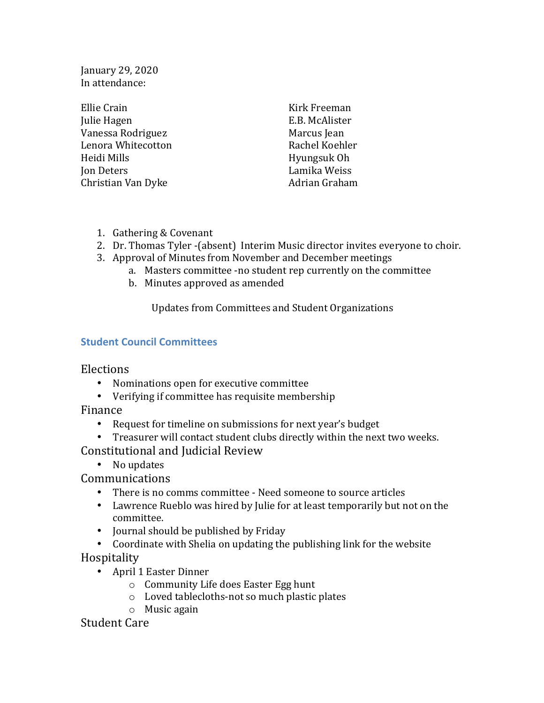January 29, 2020 In attendance:

| Ellie Crain        | Kirk Freeman   |
|--------------------|----------------|
| Julie Hagen        | E.B. McAlister |
| Vanessa Rodriguez  | Marcus Jean    |
| Lenora Whitecotton | Rachel Koehler |
| Heidi Mills        | Hyungsuk Oh    |
| Jon Deters         | Lamika Weiss   |
| Christian Van Dyke | Adrian Graham  |
|                    |                |

- 1. Gathering & Covenant
- 2. Dr. Thomas Tyler -(absent) Interim Music director invites everyone to choir.
- 3. Approval of Minutes from November and December meetings
	- a. Masters committee -no student rep currently on the committee
	- b. Minutes approved as amended

Updates from Committees and Student Organizations

## **Student Council Committees**

Elections

- Nominations open for executive committee
- Verifying if committee has requisite membership

Finance

- Request for timeline on submissions for next year's budget
- Treasurer will contact student clubs directly within the next two weeks.

Constitutional and Judicial Review

• No updates

Communications

- There is no comms committee Need someone to source articles
- Lawrence Rueblo was hired by Julie for at least temporarily but not on the committee.
- Journal should be published by Friday
- Coordinate with Shelia on updating the publishing link for the website

Hospitality

- April 1 Easter Dinner
	- $\circ$  Community Life does Easter Egg hunt
	- $\circ$  Loved tablecloths-not so much plastic plates
	- $\circ$  Music again

Student Care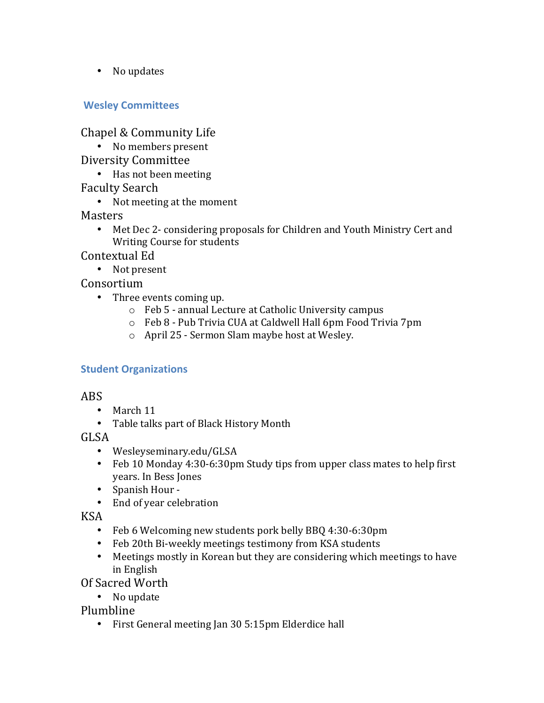• No updates

## **Wesley Committees**

Chapel & Community Life

- No members present
- Diversity Committee
	- Has not been meeting
- Faculty Search
	- Not meeting at the moment

Masters

• Met Dec 2- considering proposals for Children and Youth Ministry Cert and Writing Course for students

Contextual Ed

• Not present

Consortium

- Three events coming up.
	- $\circ$  Feb 5 annual Lecture at Catholic University campus
	- o Feb 8 - Pub Trivia CUA at Caldwell Hall 6pm Food Trivia 7pm
	- $\circ$  April 25 Sermon Slam maybe host at Wesley.

## **Student Organizations**

## ABS

- March 11
- Table talks part of Black History Month

GLSA

- Wesleyseminary.edu/GLSA
- Feb 10 Monday 4:30-6:30pm Study tips from upper class mates to help first years. In Bess Jones
- Spanish Hour -
- End of year celebration

KSA

- Feb 6 Welcoming new students pork belly BBQ 4:30-6:30pm
- Feb 20th Bi-weekly meetings testimony from KSA students
- Meetings mostly in Korean but they are considering which meetings to have in English

Of Sacred Worth

• No update

Plumbline

• First General meeting Jan 30 5:15pm Elderdice hall